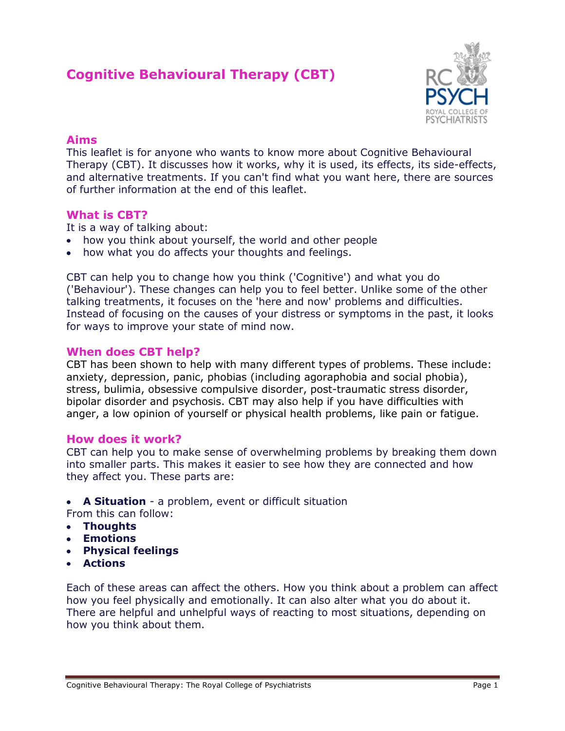# **Cognitive Behavioural Therapy (CBT)**



## **Aims**

This leaflet is for anyone who wants to know more about Cognitive Behavioural Therapy (CBT). It discusses how it works, why it is used, its effects, its side-effects, and alternative treatments. If you can't find what you want here, there are sources of further information at the end of this leaflet.

# **What is CBT?**

It is a way of talking about:

- how you think about yourself, the world and other people
- how what you do affects your thoughts and feelings.

CBT can help you to change how you think ('Cognitive') and what you do ('Behaviour'). These changes can help you to feel better. Unlike some of the other talking treatments, it focuses on the 'here and now' problems and difficulties. Instead of focusing on the causes of your distress or symptoms in the past, it looks for ways to improve your state of mind now.

# **When does CBT help?**

CBT has been shown to help with many different types of problems. These include: [anxiety,](http://www.rcpsych.ac.uk/mentalhealthinfoforall/problems/anxietyphobias/anxietyphobias.aspx) [depression,](http://www.rcpsych.ac.uk/mentalhealthinformation/mentalhealthproblems/depression/depression.aspx) panic, phobias (including agoraphobia and [social phobia\)](http://www.rcpsych.ac.uk/mentalhealthinfoforall/problems/anxietyphobias/shynessandsocialphobia.aspx), stress, [bulimia,](http://www.rcpsych.ac.uk/mentalhealthinformation/mentalhealthproblems/eatingdisorders/eatingdisorders.aspx) [obsessive compulsive disorder,](http://www.rcpsych.ac.uk/mentalhealthinfoforall/problems/obsessivecompulsivedisorder/obsessivecomplusivedisorder.aspx) [post-traumatic stress disorder,](http://www.rcpsych.ac.uk/mentalhealthinfo/problems/ptsd/posttraumaticstressdisorder.aspx) [bipolar disorder](http://www.rcpsych.ac.uk/mentalhealthinformation/mentalhealthproblems/bipolarmanicdepression/bipolardisorder.aspx) and psychosis. CBT may also help if you have difficulties with anger, a low opinion of yourself or physical health problems, like pain or fatigue.

## **How does it work?**

CBT can help you to make sense of overwhelming problems by breaking them down into smaller parts. This makes it easier to see how they are connected and how they affect you. These parts are:

**A Situation** - a problem, event or difficult situation

From this can follow:

- **Thoughts**
- **Emotions**
- **Physical feelings**
- **Actions**

Each of these areas can affect the others. How you think about a problem can affect how you feel physically and emotionally. It can also alter what you do about it. There are helpful and unhelpful ways of reacting to most situations, depending on how you think about them.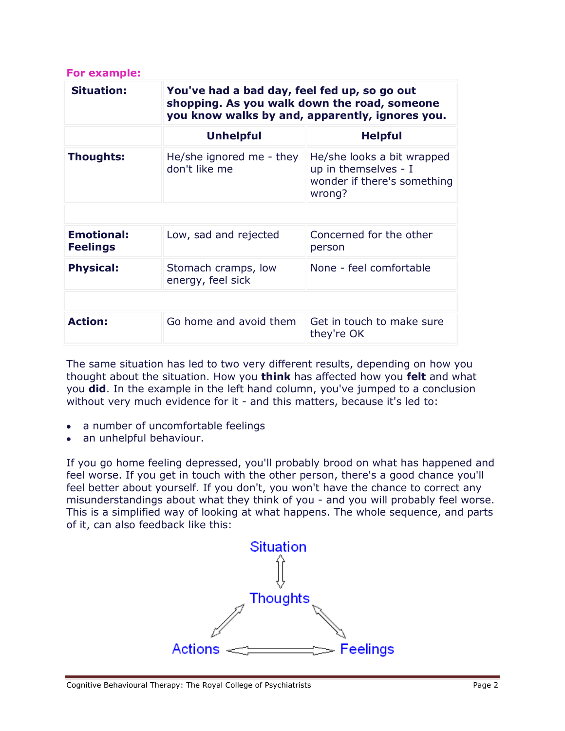| For example:                         |                                                                                                                                                 |                                                                                             |
|--------------------------------------|-------------------------------------------------------------------------------------------------------------------------------------------------|---------------------------------------------------------------------------------------------|
| <b>Situation:</b>                    | You've had a bad day, feel fed up, so go out<br>shopping. As you walk down the road, someone<br>you know walks by and, apparently, ignores you. |                                                                                             |
|                                      | <b>Unhelpful</b>                                                                                                                                | <b>Helpful</b>                                                                              |
| Thoughts:                            | He/she ignored me - they<br>don't like me                                                                                                       | He/she looks a bit wrapped<br>up in themselves - I<br>wonder if there's something<br>wrong? |
|                                      |                                                                                                                                                 |                                                                                             |
| <b>Emotional:</b><br><b>Feelings</b> | Low, sad and rejected                                                                                                                           | Concerned for the other<br>person                                                           |
| <b>Physical:</b>                     | Stomach cramps, low<br>energy, feel sick                                                                                                        | None - feel comfortable                                                                     |
|                                      |                                                                                                                                                 |                                                                                             |
| <b>Action:</b>                       | Go home and avoid them                                                                                                                          | Get in touch to make sure<br>they're OK                                                     |

The same situation has led to two very different results, depending on how you thought about the situation. How you **think** has affected how you **felt** and what you **did**. In the example in the left hand column, you've jumped to a conclusion without very much evidence for it - and this matters, because it's led to:

- a number of uncomfortable feelings
- an unhelpful behaviour.

If you go home feeling depressed, you'll probably brood on what has happened and feel worse. If you get in touch with the other person, there's a good chance you'll feel better about yourself. If you don't, you won't have the chance to correct any misunderstandings about what they think of you - and you will probably feel worse. This is a simplified way of looking at what happens. The whole sequence, and parts of it, can also feedback like this:

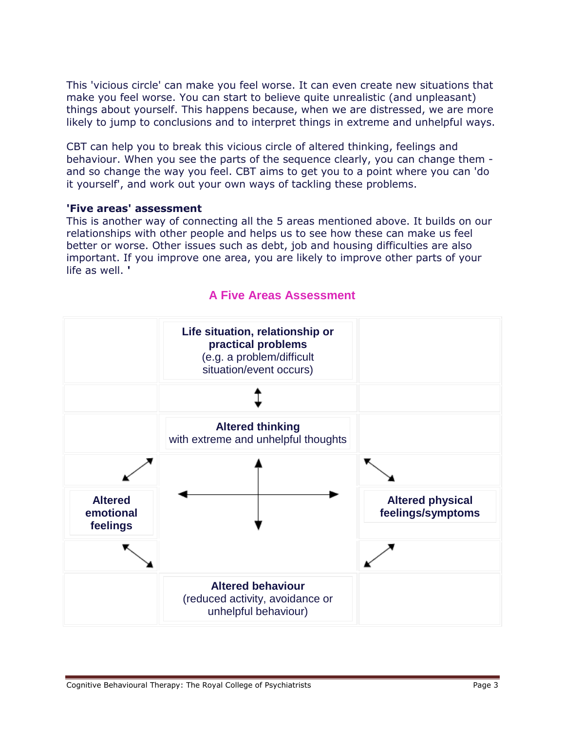This 'vicious circle' can make you feel worse. It can even create new situations that make you feel worse. You can start to believe quite unrealistic (and unpleasant) things about yourself. This happens because, when we are distressed, we are more likely to jump to conclusions and to interpret things in extreme and unhelpful ways.

CBT can help you to break this vicious circle of altered thinking, feelings and behaviour. When you see the parts of the sequence clearly, you can change them and so change the way you feel. CBT aims to get you to a point where you can 'do it yourself', and work out your own ways of tackling these problems.

#### **'Five areas' assessment**

This is another way of connecting all the 5 areas mentioned above. It builds on our relationships with other people and helps us to see how these can make us feel better or worse. Other issues such as debt, job and housing difficulties are also important. If you improve one area, you are likely to improve other parts of your life as well. **'**



# **A Five Areas Assessment**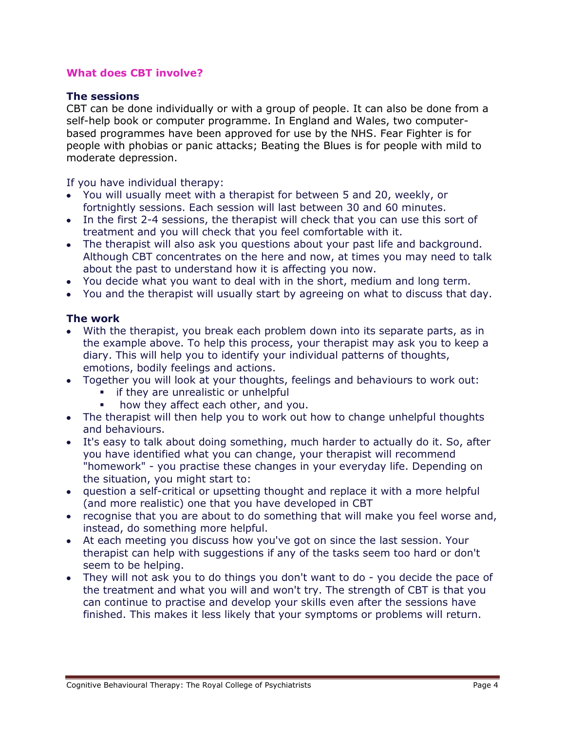# **What does CBT involve?**

#### **The sessions**

CBT can be done individually or with a group of people. It can also be done from a self-help book or computer programme. In England and Wales, two computerbased programmes have been approved for use by the NHS. [Fear Fighter](http://www.fearfighter.com/) is for people with phobias or panic attacks; [Beating the Blues](http://www.beatingtheblues.co.uk/) is for people with mild to moderate depression.

If you have individual therapy:

- You will usually meet with a therapist for between 5 and 20, weekly, or fortnightly sessions. Each session will last between 30 and 60 minutes.
- In the first 2-4 sessions, the therapist will check that you can use this sort of treatment and you will check that you feel comfortable with it.
- The therapist will also ask you questions about your past life and background. Although CBT concentrates on the here and now, at times you may need to talk about the past to understand how it is affecting you now.
- You decide what you want to deal with in the short, medium and long term.
- You and the therapist will usually start by agreeing on what to discuss that day.

## **The work**

- With the therapist, you break each problem down into its separate parts, as in the example above. To help this process, your therapist may ask you to keep a diary. This will help you to identify your individual patterns of thoughts, emotions, bodily feelings and actions.
- Together you will look at your thoughts, feelings and behaviours to work out:
	- if they are unrealistic or unhelpful
	- how they affect each other, and you.
- The therapist will then help you to work out how to change unhelpful thoughts and behaviours.
- It's easy to talk about doing something, much harder to actually do it. So, after you have identified what you can change, your therapist will recommend "homework" - you practise these changes in your everyday life. Depending on the situation, you might start to:
- question a self-critical or upsetting thought and replace it with a more helpful (and more realistic) one that you have developed in CBT
- recognise that you are about to do something that will make you feel worse and, instead, do something more helpful.
- At each meeting you discuss how you've got on since the last session. Your therapist can help with suggestions if any of the tasks seem too hard or don't seem to be helping.
- They will not ask you to do things you don't want to do you decide the pace of the treatment and what you will and won't try. The strength of CBT is that you can continue to practise and develop your skills even after the sessions have finished. This makes it less likely that your symptoms or problems will return.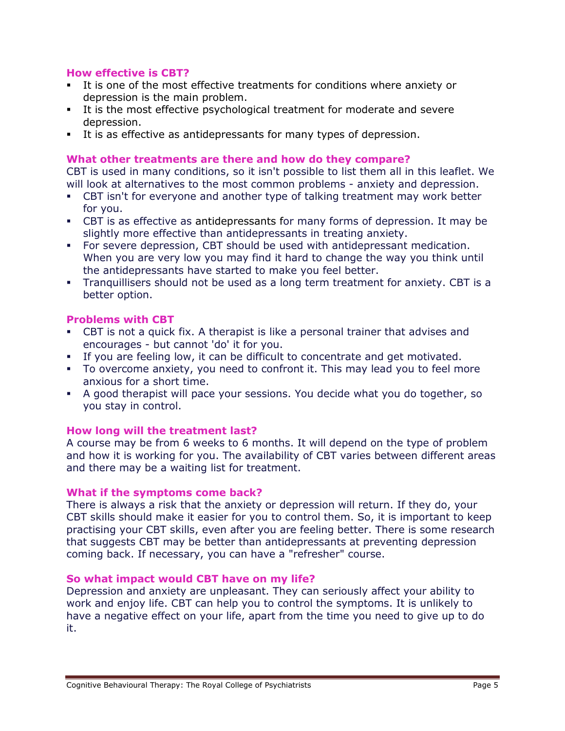# **How effective is CBT?**

- It is one of the most effective treatments for conditions where [anxiety](http://www.rcpsych.ac.uk/mentalhealthinfoforall/problems/anxietyphobias.aspx) or [depression](http://www.rcpsych.ac.uk/mentalhealthinformation/mentalhealthproblems/depression/depression.aspx) is the main problem.
- It is the most effective psychological treatment for moderate and severe depression.
- It is as effective as antidepressants for many types of depression.

# **What other treatments are there and how do they compare?**

CBT is used in many conditions, so it isn't possible to list them all in this leaflet. We will look at alternatives to the most common problems - anxiety and depression.

- CBT isn't for everyone and another type of talking treatment may work better for you.
- CBT is as effective as [antidepressants](http://www.rcpsych.ac.uk/mentalhealthinfoforall/problems/depression/antidepressants.aspx) for many forms of depression. It may be slightly more effective than antidepressants in treating anxiety.
- For severe depression, CBT should be used with antidepressant medication. When you are very low you may find it hard to change the way you think until the antidepressants have started to make you feel better.
- Tranquillisers should not be used as a long term treatment for anxiety. CBT is a better option.

## **Problems with CBT**

- CBT is not a quick fix. A therapist is like a personal trainer that advises and encourages - but cannot 'do' it for you.
- If you are feeling low, it can be difficult to concentrate and get motivated.
- To overcome anxiety, you need to confront it. This may lead you to feel more anxious for a short time.
- A good therapist will pace your sessions. You decide what you do together, so you stay in control.

## **How long will the treatment last?**

A course may be from 6 weeks to 6 months. It will depend on the type of problem and how it is working for you. The availability of CBT varies between different areas and there may be a waiting list for treatment.

## **What if the symptoms come back?**

There is always a risk that the anxiety or depression will return. If they do, your CBT skills should make it easier for you to control them. So, it is important to keep practising your CBT skills, even after you are feeling better. There is some research that suggests CBT may be better than antidepressants at preventing depression coming back. If necessary, you can have a "refresher" course.

#### **So what impact would CBT have on my life?**

Depression and anxiety are unpleasant. They can seriously affect your ability to work and enjoy life. CBT can help you to control the symptoms. It is unlikely to have a negative effect on your life, apart from the time you need to give up to do it.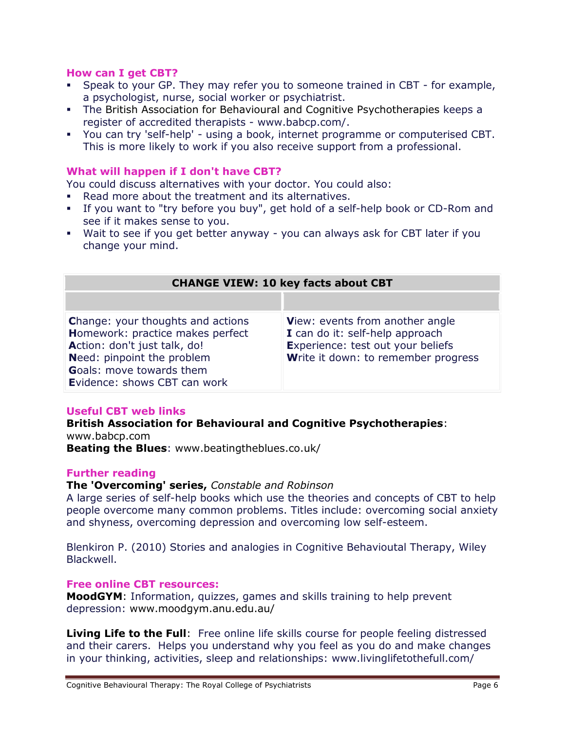## **How can I get CBT?**

- Speak to your GP. They may refer you to someone trained in CBT for example, a psychologist, nurse, social worker or psychiatrist.
- The [British Association for Behavioural and Cognitive Psychotherapies](http://www.babcp.com/) keeps a register of accredited therapists - www.babcp.com/.
- You can try 'self-help' using a book, internet programme or computerised CBT. This is more likely to work if you also receive support from a professional.

# **What will happen if I don't have CBT?**

You could discuss alternatives with your doctor. You could also:

- Read more about the treatment and its alternatives.
- If you want to "try before you buy", get hold of a self-help book or CD-Rom and see if it makes sense to you.
- Wait to see if you get better anyway you can always ask for CBT later if you change your mind.

| <b>CHANGE VIEW: 10 key facts about CBT</b>                                                                                                                                                                    |                                                                                                                                                |  |
|---------------------------------------------------------------------------------------------------------------------------------------------------------------------------------------------------------------|------------------------------------------------------------------------------------------------------------------------------------------------|--|
|                                                                                                                                                                                                               |                                                                                                                                                |  |
| <b>Change: your thoughts and actions</b><br>Homework: practice makes perfect<br>Action: don't just talk, do!<br>Need: pinpoint the problem<br><b>Goals: move towards them</b><br>Evidence: shows CBT can work | View: events from another angle<br>I can do it: self-help approach<br>Experience: test out your beliefs<br>Write it down: to remember progress |  |

## **Useful CBT web links**

#### **[British Association for Behavioural and Cognitive Psychotherapies](http://www.rcpsych.ac.uk/http:/www.babcp.com%20/)**: www.babcp.com

**[Beating the Blues](http://www.beatingtheblues.co.uk/)**: [www.beatingtheblues.co.uk/](http://www.beatingtheblues.co.uk/)

## **Further reading**

## **The 'Overcoming' series,** *[Constable and Robinson](http://www.overcoming.co.uk/)*

A large series of self-help books which use the theories and concepts of CBT to help people overcome many common problems. Titles include: overcoming social anxiety and shyness, overcoming depression and overcoming low self-esteem.

Blenkiron P. (2010) Stories and analogies in Cognitive Behavioutal Therapy, Wiley Blackwell.

## **Free online CBT resources:**

**[MoodGYM](http://www.moodgym.anu.edu.au/welcome)**: Information, quizzes, games and skills training to help prevent depression: [www.moodgym.anu.edu.au/](http://www.moodgym.anu.edu.au/)

**[Living Life to the Full](http://www.livinglifetothefull.com/)**: Free online life skills course for people feeling distressed and their carers. Helps you understand why you feel as you do and make changes in your thinking, activities, sleep and relationships: www.livinglifetothefull.com/